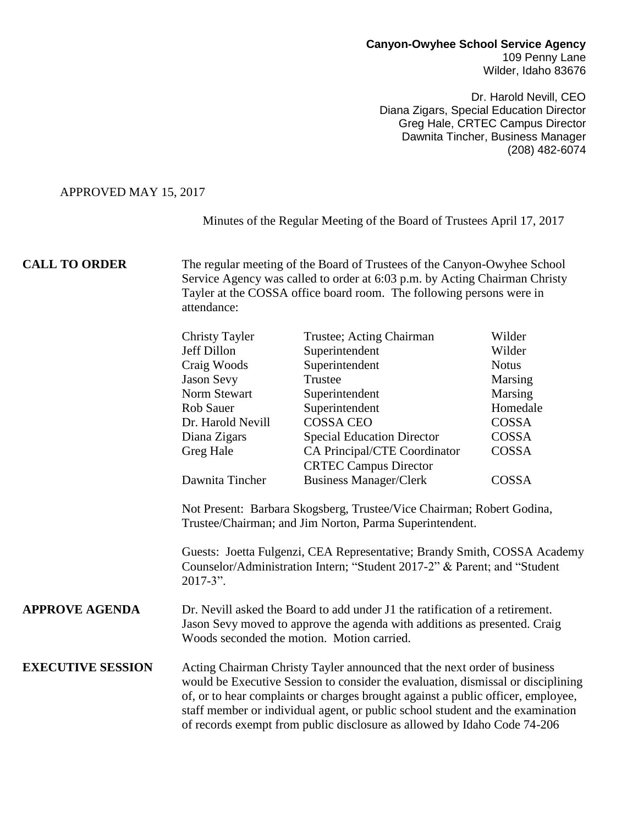#### **Canyon-Owyhee School Service Agency** 109 Penny Lane Wilder, Idaho 83676

Dr. Harold Nevill, CEO Diana Zigars, Special Education Director Greg Hale, CRTEC Campus Director Dawnita Tincher, Business Manager (208) 482-6074

## APPROVED MAY 15, 2017

Minutes of the Regular Meeting of the Board of Trustees April 17, 2017

**CALL TO ORDER** The regular meeting of the Board of Trustees of the Canyon-Owyhee School Service Agency was called to order at 6:03 p.m. by Acting Chairman Christy Tayler at the COSSA office board room. The following persons were in attendance:

|                          | <b>Christy Tayler</b>                                                                                                                                                                                                                                                                                                                                                                                          | Trustee; Acting Chairman          | Wilder       |
|--------------------------|----------------------------------------------------------------------------------------------------------------------------------------------------------------------------------------------------------------------------------------------------------------------------------------------------------------------------------------------------------------------------------------------------------------|-----------------------------------|--------------|
|                          | Jeff Dillon                                                                                                                                                                                                                                                                                                                                                                                                    | Superintendent                    | Wilder       |
|                          | Craig Woods                                                                                                                                                                                                                                                                                                                                                                                                    | Superintendent                    | <b>Notus</b> |
|                          | <b>Jason Sevy</b>                                                                                                                                                                                                                                                                                                                                                                                              | Trustee                           | Marsing      |
|                          | Norm Stewart                                                                                                                                                                                                                                                                                                                                                                                                   | Superintendent                    | Marsing      |
|                          | <b>Rob Sauer</b>                                                                                                                                                                                                                                                                                                                                                                                               | Superintendent                    | Homedale     |
|                          | Dr. Harold Nevill                                                                                                                                                                                                                                                                                                                                                                                              | <b>COSSA CEO</b>                  | <b>COSSA</b> |
|                          | Diana Zigars                                                                                                                                                                                                                                                                                                                                                                                                   | <b>Special Education Director</b> | COSSA        |
|                          | Greg Hale                                                                                                                                                                                                                                                                                                                                                                                                      | CA Principal/CTE Coordinator      | <b>COSSA</b> |
|                          |                                                                                                                                                                                                                                                                                                                                                                                                                | <b>CRTEC Campus Director</b>      |              |
|                          | Dawnita Tincher                                                                                                                                                                                                                                                                                                                                                                                                | <b>Business Manager/Clerk</b>     | COSSA        |
|                          | Guests: Joetta Fulgenzi, CEA Representative; Brandy Smith, COSSA Academy<br>Counselor/Administration Intern; "Student 2017-2" & Parent; and "Student<br>$2017 - 3$ ".                                                                                                                                                                                                                                          |                                   |              |
| <b>APPROVE AGENDA</b>    | Dr. Nevill asked the Board to add under J1 the ratification of a retirement.<br>Jason Sevy moved to approve the agenda with additions as presented. Craig<br>Woods seconded the motion. Motion carried.                                                                                                                                                                                                        |                                   |              |
| <b>EXECUTIVE SESSION</b> | Acting Chairman Christy Tayler announced that the next order of business<br>would be Executive Session to consider the evaluation, dismissal or disciplining<br>of, or to hear complaints or charges brought against a public officer, employee,<br>staff member or individual agent, or public school student and the examination<br>of records exempt from public disclosure as allowed by Idaho Code 74-206 |                                   |              |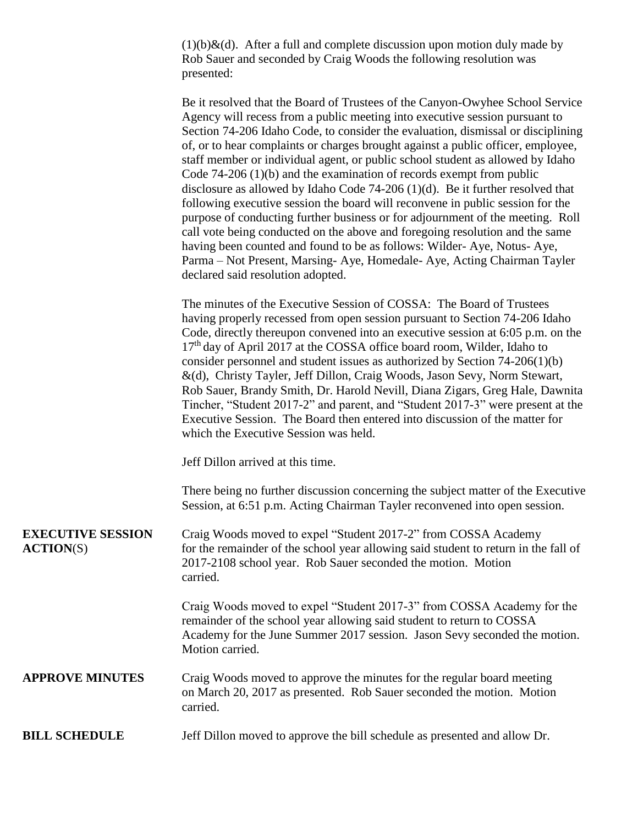$(1)(b)$ &(d). After a full and complete discussion upon motion duly made by Rob Sauer and seconded by Craig Woods the following resolution was presented:

Be it resolved that the Board of Trustees of the Canyon-Owyhee School Service Agency will recess from a public meeting into executive session pursuant to Section 74-206 Idaho Code, to consider the evaluation, dismissal or disciplining of, or to hear complaints or charges brought against a public officer, employee, staff member or individual agent, or public school student as allowed by Idaho Code 74-206 (1)(b) and the examination of records exempt from public disclosure as allowed by Idaho Code 74-206 (1)(d). Be it further resolved that following executive session the board will reconvene in public session for the purpose of conducting further business or for adjournment of the meeting. Roll call vote being conducted on the above and foregoing resolution and the same having been counted and found to be as follows: Wilder- Aye, Notus- Aye, Parma – Not Present, Marsing- Aye, Homedale- Aye, Acting Chairman Tayler declared said resolution adopted.

The minutes of the Executive Session of COSSA: The Board of Trustees having properly recessed from open session pursuant to Section 74-206 Idaho Code, directly thereupon convened into an executive session at 6:05 p.m. on the 17<sup>th</sup> day of April 2017 at the COSSA office board room, Wilder, Idaho to consider personnel and student issues as authorized by Section 74-206(1)(b) &(d), Christy Tayler, Jeff Dillon, Craig Woods, Jason Sevy, Norm Stewart, Rob Sauer, Brandy Smith, Dr. Harold Nevill, Diana Zigars, Greg Hale, Dawnita Tincher, "Student 2017-2" and parent, and "Student 2017-3" were present at the Executive Session. The Board then entered into discussion of the matter for which the Executive Session was held.

Jeff Dillon arrived at this time.

There being no further discussion concerning the subject matter of the Executive Session, at 6:51 p.m. Acting Chairman Tayler reconvened into open session.

**EXECUTIVE SESSION** Craig Woods moved to expel "Student 2017-2" from COSSA Academy **ACTION**(S) for the remainder of the school year allowing said student to return in the fall of 2017-2108 school year. Rob Sauer seconded the motion. Motion carried.

> Craig Woods moved to expel "Student 2017-3" from COSSA Academy for the remainder of the school year allowing said student to return to COSSA Academy for the June Summer 2017 session. Jason Sevy seconded the motion. Motion carried.

## **APPROVE MINUTES** Craig Woods moved to approve the minutes for the regular board meeting on March 20, 2017 as presented. Rob Sauer seconded the motion. Motion carried.

#### **BILL SCHEDULE** Jeff Dillon moved to approve the bill schedule as presented and allow Dr.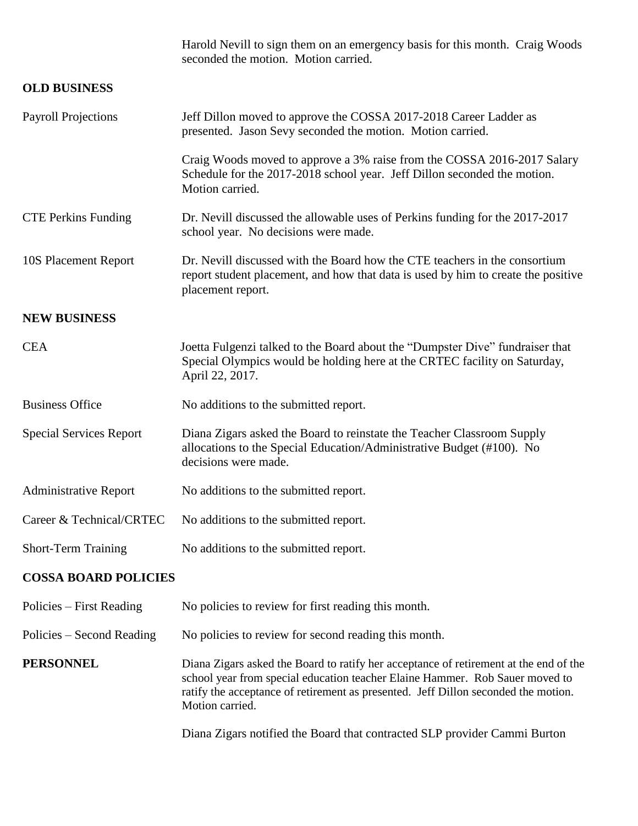|                                | Harold Nevill to sign them on an emergency basis for this month. Craig Woods<br>seconded the motion. Motion carried.                                                                                                                                                           |  |
|--------------------------------|--------------------------------------------------------------------------------------------------------------------------------------------------------------------------------------------------------------------------------------------------------------------------------|--|
| <b>OLD BUSINESS</b>            |                                                                                                                                                                                                                                                                                |  |
| <b>Payroll Projections</b>     | Jeff Dillon moved to approve the COSSA 2017-2018 Career Ladder as<br>presented. Jason Sevy seconded the motion. Motion carried.                                                                                                                                                |  |
|                                | Craig Woods moved to approve a 3% raise from the COSSA 2016-2017 Salary<br>Schedule for the 2017-2018 school year. Jeff Dillon seconded the motion.<br>Motion carried.                                                                                                         |  |
| <b>CTE Perkins Funding</b>     | Dr. Nevill discussed the allowable uses of Perkins funding for the 2017-2017<br>school year. No decisions were made.                                                                                                                                                           |  |
| 10S Placement Report           | Dr. Nevill discussed with the Board how the CTE teachers in the consortium<br>report student placement, and how that data is used by him to create the positive<br>placement report.                                                                                           |  |
| <b>NEW BUSINESS</b>            |                                                                                                                                                                                                                                                                                |  |
| <b>CEA</b>                     | Joetta Fulgenzi talked to the Board about the "Dumpster Dive" fundraiser that<br>Special Olympics would be holding here at the CRTEC facility on Saturday,<br>April 22, 2017.                                                                                                  |  |
| <b>Business Office</b>         | No additions to the submitted report.                                                                                                                                                                                                                                          |  |
| <b>Special Services Report</b> | Diana Zigars asked the Board to reinstate the Teacher Classroom Supply<br>allocations to the Special Education/Administrative Budget (#100). No<br>decisions were made.                                                                                                        |  |
| <b>Administrative Report</b>   | No additions to the submitted report.                                                                                                                                                                                                                                          |  |
| Career & Technical/CRTEC       | No additions to the submitted report.                                                                                                                                                                                                                                          |  |
| <b>Short-Term Training</b>     | No additions to the submitted report.                                                                                                                                                                                                                                          |  |
| <b>COSSA BOARD POLICIES</b>    |                                                                                                                                                                                                                                                                                |  |
| Policies – First Reading       | No policies to review for first reading this month.                                                                                                                                                                                                                            |  |
| Policies – Second Reading      | No policies to review for second reading this month.                                                                                                                                                                                                                           |  |
| <b>PERSONNEL</b>               | Diana Zigars asked the Board to ratify her acceptance of retirement at the end of the<br>school year from special education teacher Elaine Hammer. Rob Sauer moved to<br>ratify the acceptance of retirement as presented. Jeff Dillon seconded the motion.<br>Motion carried. |  |

Diana Zigars notified the Board that contracted SLP provider Cammi Burton